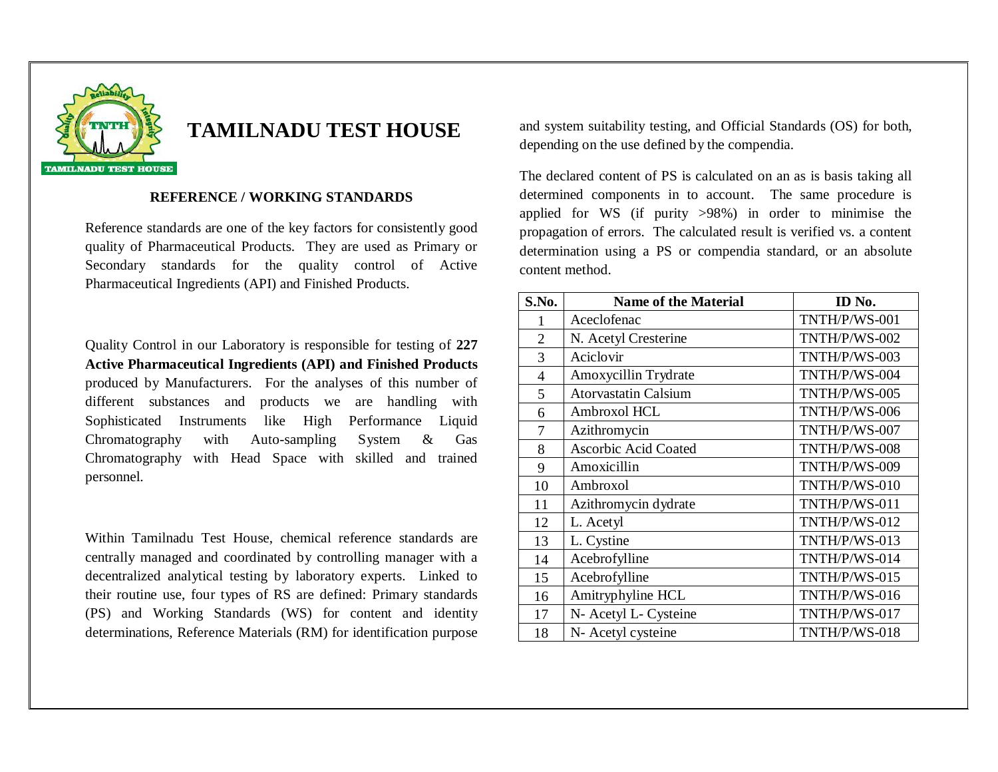

## **TAMILNADU TEST HOUSE**

## **REFERENCE / WORKING STANDARDS**

Reference standards are one of the key factors for consistently good quality of Pharmaceutical Products. They are used as Primary or Secondary standards for the quality control of Active Pharmaceutical Ingredients (API) and Finished Products.

Quality Control in our Laboratory is responsible for testing of **227 Active Pharmaceutical Ingredients (API) and Finished Products** produced by Manufacturers. For the analyses of this number of different substances and products we are handling with Sophisticated Instruments like High Performance Liquid Chromatography with Auto-sampling System & Gas Chromatography with Head Space with skilled and trained personnel.

Within Tamilnadu Test House, chemical reference standards are centrally managed and coordinated by controlling manager with a decentralized analytical testing by laboratory experts. Linked to their routine use, four types of RS are defined: Primary standards (PS) and Working Standards (WS) for content and identity determinations, Reference Materials (RM) for identification purpose

and system suitability testing, and Official Standards (OS) for both, depending on the use defined by the compendia.

The declared content of PS is calculated on an as is basis taking all determined components in to account. The same procedure is applied for WS (if purity >98%) in order to minimise the propagation of errors. The calculated result is verified vs. a content determination using a PS or compendia standard, or an absolute content method.

| S.No.          | <b>Name of the Material</b> | ID No.        |
|----------------|-----------------------------|---------------|
| 1              | Aceclofenac                 | TNTH/P/WS-001 |
| $\overline{2}$ | N. Acetyl Cresterine        | TNTH/P/WS-002 |
| 3              | Aciclovir                   | TNTH/P/WS-003 |
| $\overline{4}$ | Amoxycillin Trydrate        | TNTH/P/WS-004 |
| 5              | <b>Atorvastatin Calsium</b> | TNTH/P/WS-005 |
| 6              | Ambroxol HCL                | TNTH/P/WS-006 |
| 7              | Azithromycin                | TNTH/P/WS-007 |
| 8              | Ascorbic Acid Coated        | TNTH/P/WS-008 |
| 9              | Amoxicillin                 | TNTH/P/WS-009 |
| 10             | Ambroxol                    | TNTH/P/WS-010 |
| 11             | Azithromycin dydrate        | TNTH/P/WS-011 |
| 12             | L. Acetyl                   | TNTH/P/WS-012 |
| 13             | L. Cystine                  | TNTH/P/WS-013 |
| 14             | Acebrofylline               | TNTH/P/WS-014 |
| 15             | Acebrofylline               | TNTH/P/WS-015 |
| 16             | Amitryphyline HCL           | TNTH/P/WS-016 |
| 17             | N- Acetyl L- Cysteine       | TNTH/P/WS-017 |
| 18             | N- Acetyl cysteine          | TNTH/P/WS-018 |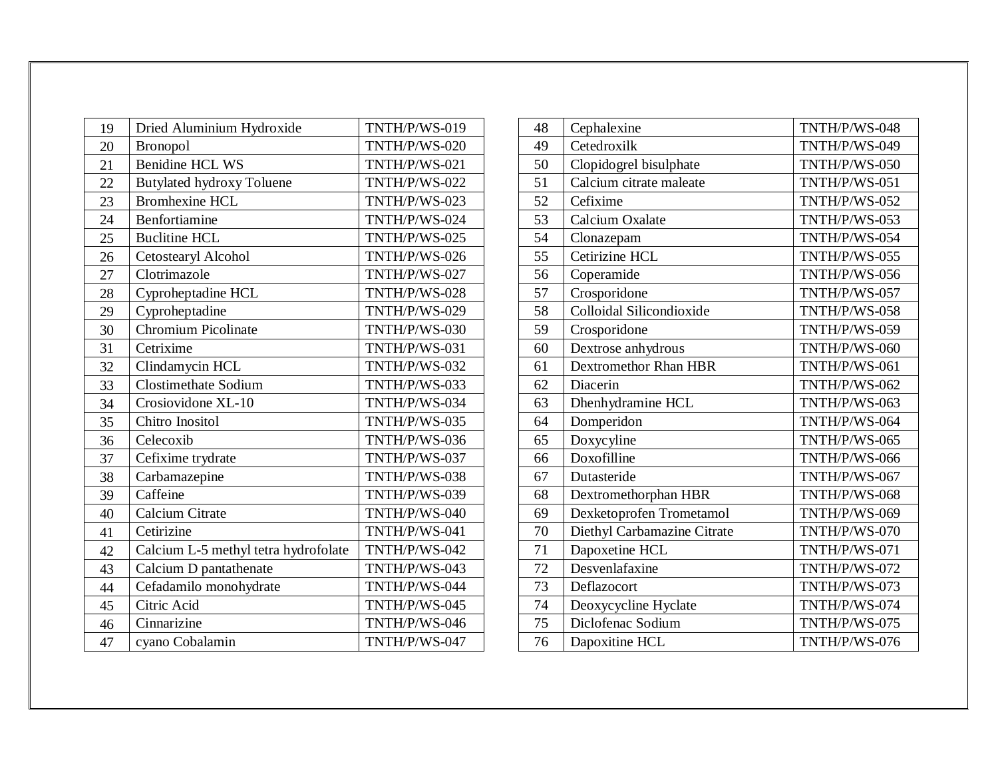| 19 | Dried Aluminium Hydroxide            | TNTH/P/WS-019 |
|----|--------------------------------------|---------------|
| 20 | <b>Bronopol</b>                      | TNTH/P/WS-020 |
| 21 | <b>Benidine HCL WS</b>               | TNTH/P/WS-021 |
| 22 | <b>Butylated hydroxy Toluene</b>     | TNTH/P/WS-022 |
| 23 | <b>Bromhexine HCL</b>                | TNTH/P/WS-023 |
| 24 | Benfortiamine                        | TNTH/P/WS-024 |
| 25 | <b>Buclitine HCL</b>                 | TNTH/P/WS-025 |
| 26 | Cetostearyl Alcohol                  | TNTH/P/WS-026 |
| 27 | Clotrimazole                         | TNTH/P/WS-027 |
| 28 | Cyproheptadine HCL                   | TNTH/P/WS-028 |
| 29 | Cyproheptadine                       | TNTH/P/WS-029 |
| 30 | <b>Chromium Picolinate</b>           | TNTH/P/WS-030 |
| 31 | Cetrixime                            | TNTH/P/WS-031 |
| 32 | Clindamycin HCL                      | TNTH/P/WS-032 |
| 33 | <b>Clostimethate Sodium</b>          | TNTH/P/WS-033 |
| 34 | Crosiovidone XL-10                   | TNTH/P/WS-034 |
| 35 | Chitro Inositol                      | TNTH/P/WS-035 |
| 36 | Celecoxib                            | TNTH/P/WS-036 |
| 37 | Cefixime trydrate                    | TNTH/P/WS-037 |
| 38 | Carbamazepine                        | TNTH/P/WS-038 |
| 39 | Caffeine                             | TNTH/P/WS-039 |
| 40 | Calcium Citrate                      | TNTH/P/WS-040 |
| 41 | Cetirizine                           | TNTH/P/WS-041 |
| 42 | Calcium L-5 methyl tetra hydrofolate | TNTH/P/WS-042 |
| 43 | Calcium D pantathenate               | TNTH/P/WS-043 |
| 44 | Cefadamilo monohydrate               | TNTH/P/WS-044 |
| 45 | Citric Acid                          | TNTH/P/WS-045 |
| 46 | Cinnarizine                          | TNTH/P/WS-046 |
| 47 | cyano Cobalamin                      | TNTH/P/WS-047 |

| 48 | Cephalexine                  | TNTH/P/WS-048 |
|----|------------------------------|---------------|
| 49 | Cetedroxilk                  | TNTH/P/WS-049 |
| 50 | Clopidogrel bisulphate       | TNTH/P/WS-050 |
| 51 | Calcium citrate maleate      | TNTH/P/WS-051 |
| 52 | Cefixime                     | TNTH/P/WS-052 |
| 53 | Calcium Oxalate              | TNTH/P/WS-053 |
| 54 | Clonazepam                   | TNTH/P/WS-054 |
| 55 | Cetirizine HCL               | TNTH/P/WS-055 |
| 56 | Coperamide                   | TNTH/P/WS-056 |
| 57 | Crosporidone                 | TNTH/P/WS-057 |
| 58 | Colloidal Silicondioxide     | TNTH/P/WS-058 |
| 59 | Crosporidone                 | TNTH/P/WS-059 |
| 60 | Dextrose anhydrous           | TNTH/P/WS-060 |
| 61 | <b>Dextromethor Rhan HBR</b> | TNTH/P/WS-061 |
| 62 | Diacerin                     | TNTH/P/WS-062 |
| 63 | Dhenhydramine HCL            | TNTH/P/WS-063 |
| 64 | Domperidon                   | TNTH/P/WS-064 |
| 65 | Doxycyline                   | TNTH/P/WS-065 |
| 66 | Doxofilline                  | TNTH/P/WS-066 |
| 67 | Dutasteride                  | TNTH/P/WS-067 |
| 68 | Dextromethorphan HBR         | TNTH/P/WS-068 |
| 69 | Dexketoprofen Trometamol     | TNTH/P/WS-069 |
| 70 | Diethyl Carbamazine Citrate  | TNTH/P/WS-070 |
| 71 | Dapoxetine HCL               | TNTH/P/WS-071 |
| 72 | Desvenlafaxine               | TNTH/P/WS-072 |
| 73 | Deflazocort                  | TNTH/P/WS-073 |
| 74 | Deoxycycline Hyclate         | TNTH/P/WS-074 |
| 75 | Diclofenac Sodium            | TNTH/P/WS-075 |
| 76 | Dapoxitine HCL               | TNTH/P/WS-076 |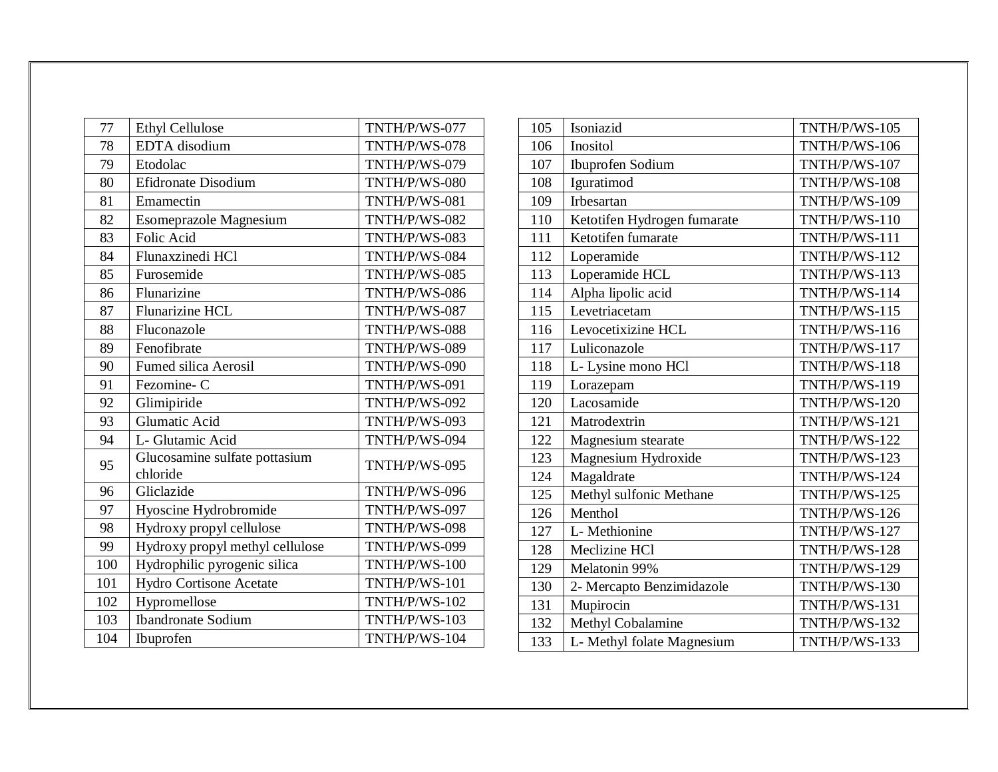| 77  | <b>Ethyl Cellulose</b>                    | TNTH/P/WS-077 |
|-----|-------------------------------------------|---------------|
| 78  | EDTA disodium                             | TNTH/P/WS-078 |
| 79  | Etodolac                                  | TNTH/P/WS-079 |
| 80  | Efidronate Disodium                       | TNTH/P/WS-080 |
| 81  | Emamectin                                 | TNTH/P/WS-081 |
| 82  | Esomeprazole Magnesium                    | TNTH/P/WS-082 |
| 83  | Folic Acid                                | TNTH/P/WS-083 |
| 84  | Flunaxzinedi HCl                          | TNTH/P/WS-084 |
| 85  | Furosemide                                | TNTH/P/WS-085 |
| 86  | Flunarizine                               | TNTH/P/WS-086 |
| 87  | <b>Flunarizine HCL</b>                    | TNTH/P/WS-087 |
| 88  | Fluconazole                               | TNTH/P/WS-088 |
| 89  | Fenofibrate                               | TNTH/P/WS-089 |
| 90  | <b>Fumed silica Aerosil</b>               | TNTH/P/WS-090 |
| 91  | Fezomine-C                                | TNTH/P/WS-091 |
| 92  | Glimipiride                               | TNTH/P/WS-092 |
| 93  | <b>Glumatic Acid</b>                      | TNTH/P/WS-093 |
| 94  | L- Glutamic Acid                          | TNTH/P/WS-094 |
| 95  | Glucosamine sulfate pottasium<br>chloride | TNTH/P/WS-095 |
| 96  | Gliclazide                                | TNTH/P/WS-096 |
| 97  | Hyoscine Hydrobromide                     | TNTH/P/WS-097 |
| 98  | Hydroxy propyl cellulose                  | TNTH/P/WS-098 |
| 99  | Hydroxy propyl methyl cellulose           | TNTH/P/WS-099 |
| 100 | Hydrophilic pyrogenic silica              | TNTH/P/WS-100 |
| 101 | Hydro Cortisone Acetate                   | TNTH/P/WS-101 |
| 102 | Hypromellose                              | TNTH/P/WS-102 |
| 103 | <b>Ibandronate Sodium</b>                 | TNTH/P/WS-103 |
| 104 | Ibuprofen                                 | TNTH/P/WS-104 |

| 105 | Isoniazid                   | TNTH/P/WS-105 |
|-----|-----------------------------|---------------|
| 106 | Inositol                    | TNTH/P/WS-106 |
| 107 | <b>Ibuprofen Sodium</b>     | TNTH/P/WS-107 |
| 108 | Iguratimod                  | TNTH/P/WS-108 |
| 109 | Irbesartan                  | TNTH/P/WS-109 |
| 110 | Ketotifen Hydrogen fumarate | TNTH/P/WS-110 |
| 111 | Ketotifen fumarate          | TNTH/P/WS-111 |
| 112 | Loperamide                  | TNTH/P/WS-112 |
| 113 | Loperamide HCL              | TNTH/P/WS-113 |
| 114 | Alpha lipolic acid          | TNTH/P/WS-114 |
| 115 | Levetriacetam               | TNTH/P/WS-115 |
| 116 | Levocetixizine HCL          | TNTH/P/WS-116 |
| 117 | Luliconazole                | TNTH/P/WS-117 |
| 118 | L- Lysine mono HCl          | TNTH/P/WS-118 |
| 119 | Lorazepam                   | TNTH/P/WS-119 |
| 120 | Lacosamide                  | TNTH/P/WS-120 |
| 121 | Matrodextrin                | TNTH/P/WS-121 |
| 122 | Magnesium stearate          | TNTH/P/WS-122 |
| 123 | Magnesium Hydroxide         | TNTH/P/WS-123 |
| 124 | Magaldrate                  | TNTH/P/WS-124 |
| 125 | Methyl sulfonic Methane     | TNTH/P/WS-125 |
| 126 | Menthol                     | TNTH/P/WS-126 |
| 127 | L- Methionine               | TNTH/P/WS-127 |
| 128 | Meclizine HCl               | TNTH/P/WS-128 |
| 129 | Melatonin 99%               | TNTH/P/WS-129 |
| 130 | 2- Mercapto Benzimidazole   | TNTH/P/WS-130 |
| 131 | Mupirocin                   | TNTH/P/WS-131 |
| 132 | Methyl Cobalamine           | TNTH/P/WS-132 |
| 133 | L- Methyl folate Magnesium  | TNTH/P/WS-133 |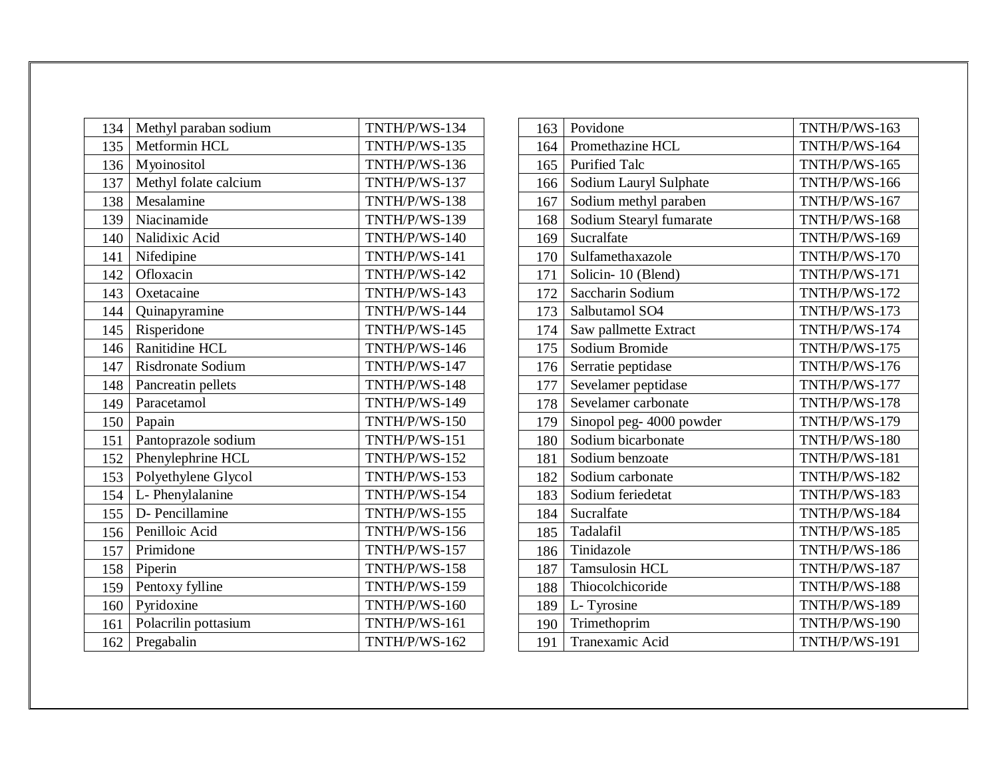| 134 | Methyl paraban sodium | TNTH/P/WS-134 |
|-----|-----------------------|---------------|
| 135 | Metformin HCL         | TNTH/P/WS-135 |
| 136 | Myoinositol           | TNTH/P/WS-136 |
| 137 | Methyl folate calcium | TNTH/P/WS-137 |
| 138 | Mesalamine            | TNTH/P/WS-138 |
| 139 | Niacinamide           | TNTH/P/WS-139 |
| 140 | Nalidixic Acid        | TNTH/P/WS-140 |
| 141 | Nifedipine            | TNTH/P/WS-141 |
| 142 | Ofloxacin             | TNTH/P/WS-142 |
| 143 | Oxetacaine            | TNTH/P/WS-143 |
| 144 | Quinapyramine         | TNTH/P/WS-144 |
| 145 | Risperidone           | TNTH/P/WS-145 |
| 146 | Ranitidine HCL        | TNTH/P/WS-146 |
| 147 | Risdronate Sodium     | TNTH/P/WS-147 |
| 148 | Pancreatin pellets    | TNTH/P/WS-148 |
| 149 | Paracetamol           | TNTH/P/WS-149 |
| 150 | Papain                | TNTH/P/WS-150 |
| 151 | Pantoprazole sodium   | TNTH/P/WS-151 |
| 152 | Phenylephrine HCL     | TNTH/P/WS-152 |
| 153 | Polyethylene Glycol   | TNTH/P/WS-153 |
| 154 | L- Phenylalanine      | TNTH/P/WS-154 |
| 155 | D- Pencillamine       | TNTH/P/WS-155 |
| 156 | Penilloic Acid        | TNTH/P/WS-156 |
| 157 | Primidone             | TNTH/P/WS-157 |
| 158 | Piperin               | TNTH/P/WS-158 |
| 159 | Pentoxy fylline       | TNTH/P/WS-159 |
| 160 | Pyridoxine            | TNTH/P/WS-160 |
| 161 | Polacrilin pottasium  | TNTH/P/WS-161 |
| 162 | Pregabalin            | TNTH/P/WS-162 |

| 163 | Povidone                 | TNTH/P/WS-163 |
|-----|--------------------------|---------------|
| 164 | Promethazine HCL         | TNTH/P/WS-164 |
| 165 | <b>Purified Talc</b>     | TNTH/P/WS-165 |
| 166 | Sodium Lauryl Sulphate   | TNTH/P/WS-166 |
| 167 | Sodium methyl paraben    | TNTH/P/WS-167 |
| 168 | Sodium Stearyl fumarate  | TNTH/P/WS-168 |
| 169 | Sucralfate               | TNTH/P/WS-169 |
| 170 | Sulfamethaxazole         | TNTH/P/WS-170 |
| 171 | Solicin-10 (Blend)       | TNTH/P/WS-171 |
| 172 | Saccharin Sodium         | TNTH/P/WS-172 |
| 173 | Salbutamol SO4           | TNTH/P/WS-173 |
| 174 | Saw pallmette Extract    | TNTH/P/WS-174 |
| 175 | Sodium Bromide           | TNTH/P/WS-175 |
| 176 | Serratie peptidase       | TNTH/P/WS-176 |
| 177 | Sevelamer peptidase      | TNTH/P/WS-177 |
| 178 | Sevelamer carbonate      | TNTH/P/WS-178 |
| 179 | Sinopol peg- 4000 powder | TNTH/P/WS-179 |
| 180 | Sodium bicarbonate       | TNTH/P/WS-180 |
| 181 | Sodium benzoate          | TNTH/P/WS-181 |
| 182 | Sodium carbonate         | TNTH/P/WS-182 |
| 183 | Sodium feriedetat        | TNTH/P/WS-183 |
| 184 | Sucralfate               | TNTH/P/WS-184 |
| 185 | Tadalafil                | TNTH/P/WS-185 |
| 186 | Tinidazole               | TNTH/P/WS-186 |
| 187 | <b>Tamsulosin HCL</b>    | TNTH/P/WS-187 |
| 188 | Thiocolchicoride         | TNTH/P/WS-188 |
| 189 | L- Tyrosine              | TNTH/P/WS-189 |
| 190 | Trimethoprim             | TNTH/P/WS-190 |
| 191 | Tranexamic Acid          | TNTH/P/WS-191 |